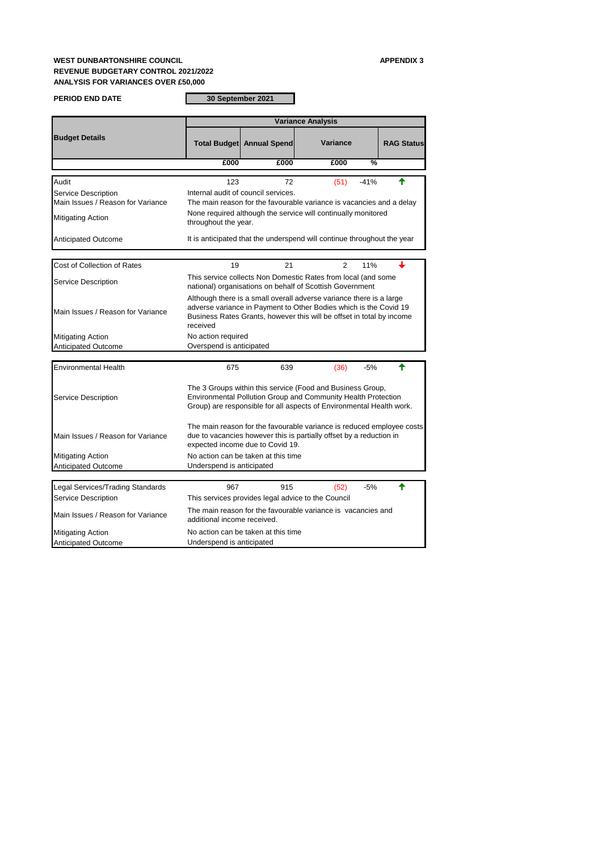## **WEST DUNBARTONSHIRE COUNCIL APPENDIX 3 REVENUE BUDGETARY CONTROL 2021/2022 ANALYSIS FOR VARIANCES OVER £50,000**

| <b>PERIOD END DATE</b>                                   |                                                                                                                                                                                                     | 30 September 2021                                                                                                                                                                |                                                                                                                                                                                                                   |        |                   |  |  |
|----------------------------------------------------------|-----------------------------------------------------------------------------------------------------------------------------------------------------------------------------------------------------|----------------------------------------------------------------------------------------------------------------------------------------------------------------------------------|-------------------------------------------------------------------------------------------------------------------------------------------------------------------------------------------------------------------|--------|-------------------|--|--|
|                                                          |                                                                                                                                                                                                     | <b>Variance Analysis</b>                                                                                                                                                         |                                                                                                                                                                                                                   |        |                   |  |  |
| <b>Budget Details</b>                                    |                                                                                                                                                                                                     | <b>Total Budget Annual Spend</b>                                                                                                                                                 | Variance                                                                                                                                                                                                          |        | <b>RAG Status</b> |  |  |
|                                                          | £000                                                                                                                                                                                                | £000                                                                                                                                                                             | £000                                                                                                                                                                                                              | %      |                   |  |  |
| Audit                                                    | 123                                                                                                                                                                                                 | 72                                                                                                                                                                               | (51)                                                                                                                                                                                                              | $-41%$ | ✦                 |  |  |
| Service Description<br>Main Issues / Reason for Variance |                                                                                                                                                                                                     | Internal audit of council services.                                                                                                                                              | The main reason for the favourable variance is vacancies and a delay                                                                                                                                              |        |                   |  |  |
| Mitigating Action                                        | throughout the year.                                                                                                                                                                                |                                                                                                                                                                                  | None required although the service will continually monitored                                                                                                                                                     |        |                   |  |  |
| <b>Anticipated Outcome</b>                               |                                                                                                                                                                                                     |                                                                                                                                                                                  | It is anticipated that the underspend will continue throughout the year                                                                                                                                           |        |                   |  |  |
| Cost of Collection of Rates                              | 19                                                                                                                                                                                                  | 21                                                                                                                                                                               | $\overline{2}$                                                                                                                                                                                                    | 11%    |                   |  |  |
| Service Description                                      |                                                                                                                                                                                                     |                                                                                                                                                                                  | This service collects Non Domestic Rates from local (and some<br>national) organisations on behalf of Scottish Government                                                                                         |        |                   |  |  |
| Main Issues / Reason for Variance                        | received                                                                                                                                                                                            |                                                                                                                                                                                  | Although there is a small overall adverse variance there is a large<br>adverse variance in Payment to Other Bodies which is the Covid 19<br>Business Rates Grants, however this will be offset in total by income |        |                   |  |  |
| <b>Mitigating Action</b><br><b>Anticipated Outcome</b>   | No action required<br>Overspend is anticipated                                                                                                                                                      |                                                                                                                                                                                  |                                                                                                                                                                                                                   |        |                   |  |  |
|                                                          |                                                                                                                                                                                                     |                                                                                                                                                                                  |                                                                                                                                                                                                                   |        |                   |  |  |
| <b>Environmental Health</b>                              | 675                                                                                                                                                                                                 | 639                                                                                                                                                                              | (36)                                                                                                                                                                                                              | $-5%$  | ╇                 |  |  |
| Service Description                                      | The 3 Groups within this service (Food and Business Group,<br>Environmental Pollution Group and Community Health Protection<br>Group) are responsible for all aspects of Environmental Health work. |                                                                                                                                                                                  |                                                                                                                                                                                                                   |        |                   |  |  |
| Main Issues / Reason for Variance                        |                                                                                                                                                                                                     | The main reason for the favourable variance is reduced employee costs<br>due to vacancies however this is partially offset by a reduction in<br>expected income due to Covid 19. |                                                                                                                                                                                                                   |        |                   |  |  |
| Mitigating Action<br><b>Anticipated Outcome</b>          | Underspend is anticipated                                                                                                                                                                           | No action can be taken at this time                                                                                                                                              |                                                                                                                                                                                                                   |        |                   |  |  |
|                                                          |                                                                                                                                                                                                     |                                                                                                                                                                                  |                                                                                                                                                                                                                   |        |                   |  |  |
| Legal Services/Trading Standards                         | 967                                                                                                                                                                                                 | 915                                                                                                                                                                              | (52)                                                                                                                                                                                                              | $-5%$  | ♠                 |  |  |
| Service Description                                      |                                                                                                                                                                                                     |                                                                                                                                                                                  | This services provides legal advice to the Council                                                                                                                                                                |        |                   |  |  |
| Main Issues / Reason for Variance                        | additional income received.                                                                                                                                                                         |                                                                                                                                                                                  | The main reason for the favourable variance is vacancies and                                                                                                                                                      |        |                   |  |  |
| Mitigating Action<br><b>Anticipated Outcome</b>          | Underspend is anticipated                                                                                                                                                                           | No action can be taken at this time                                                                                                                                              |                                                                                                                                                                                                                   |        |                   |  |  |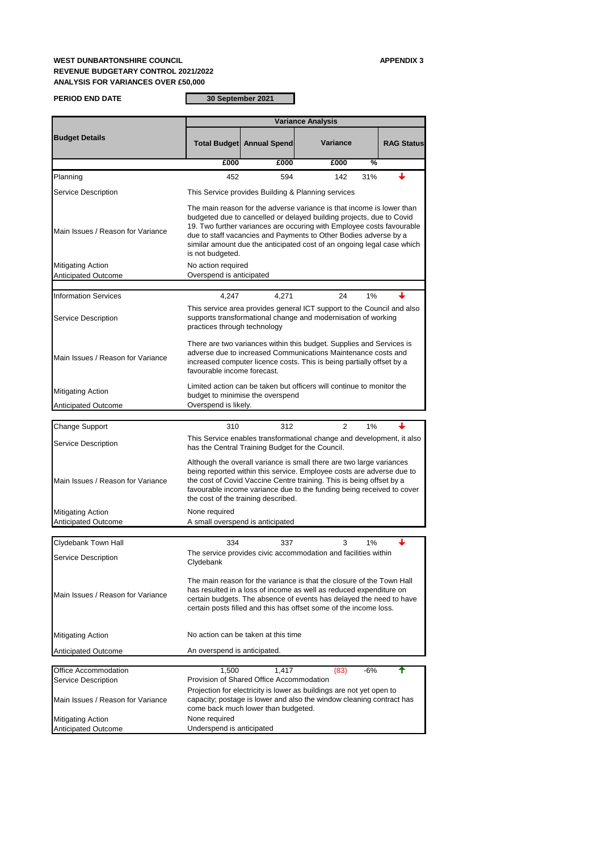## **WEST DUNBARTONSHIRE COUNCIL APPENDIX 3 REVENUE BUDGETARY CONTROL 2021/2022 ANALYSIS FOR VARIANCES OVER £50,000**

**PERIOD END DATE**

**30 September 2021**

|                                                        | <b>Variance Analysis</b>                                                                                                                                                                                                                                                                                                                                                                 |                                                   |                                                                       |                   |  |  |
|--------------------------------------------------------|------------------------------------------------------------------------------------------------------------------------------------------------------------------------------------------------------------------------------------------------------------------------------------------------------------------------------------------------------------------------------------------|---------------------------------------------------|-----------------------------------------------------------------------|-------------------|--|--|
| <b>Budget Details</b>                                  |                                                                                                                                                                                                                                                                                                                                                                                          | <b>Total Budget Annual Spend</b>                  | Variance                                                              | <b>RAG Status</b> |  |  |
|                                                        | £000                                                                                                                                                                                                                                                                                                                                                                                     | £000                                              | £000                                                                  | %                 |  |  |
| Planning                                               | 452                                                                                                                                                                                                                                                                                                                                                                                      | 594                                               | 142                                                                   | 31%               |  |  |
| Service Description                                    | This Service provides Building & Planning services                                                                                                                                                                                                                                                                                                                                       |                                                   |                                                                       |                   |  |  |
| Main Issues / Reason for Variance                      | The main reason for the adverse variance is that income is lower than<br>budgeted due to cancelled or delayed building projects, due to Covid<br>19. Two further variances are occuring with Employee costs favourable<br>due to staff vacancies and Payments to Other Bodies adverse by a<br>similar amount due the anticipated cost of an ongoing legal case which<br>is not budgeted. |                                                   |                                                                       |                   |  |  |
| Mitigating Action<br>Anticipated Outcome               | No action required<br>Overspend is anticipated                                                                                                                                                                                                                                                                                                                                           |                                                   |                                                                       |                   |  |  |
| <b>Information Services</b>                            | 4,247                                                                                                                                                                                                                                                                                                                                                                                    | 4,271                                             | 24                                                                    | 1%                |  |  |
| Service Description                                    | This service area provides general ICT support to the Council and also<br>supports transformational change and modernisation of working<br>practices through technology                                                                                                                                                                                                                  |                                                   |                                                                       |                   |  |  |
| Main Issues / Reason for Variance                      | There are two variances within this budget. Supplies and Services is<br>adverse due to increased Communications Maintenance costs and<br>increased computer licence costs. This is being partially offset by a<br>favourable income forecast.                                                                                                                                            |                                                   |                                                                       |                   |  |  |
| Mitigating Action<br><b>Anticipated Outcome</b>        | Overspend is likely.                                                                                                                                                                                                                                                                                                                                                                     | budget to minimise the overspend                  | Limited action can be taken but officers will continue to monitor the |                   |  |  |
|                                                        |                                                                                                                                                                                                                                                                                                                                                                                          |                                                   |                                                                       |                   |  |  |
| Change Support                                         | 310                                                                                                                                                                                                                                                                                                                                                                                      | 312                                               | 2                                                                     | 1%                |  |  |
| Service Description                                    |                                                                                                                                                                                                                                                                                                                                                                                          | has the Central Training Budget for the Council.  | This Service enables transformational change and development, it also |                   |  |  |
| Main Issues / Reason for Variance                      | Although the overall variance is small there are two large variances<br>being reported within this service. Employee costs are adverse due to<br>the cost of Covid Vaccine Centre training. This is being offset by a<br>favourable income variance due to the funding being received to cover<br>the cost of the training described.                                                    |                                                   |                                                                       |                   |  |  |
| Mitigating Action<br><b>Anticipated Outcome</b>        | None required                                                                                                                                                                                                                                                                                                                                                                            | A small overspend is anticipated                  |                                                                       |                   |  |  |
|                                                        |                                                                                                                                                                                                                                                                                                                                                                                          |                                                   |                                                                       |                   |  |  |
| Clydebank Town Hall<br>Service Description             | 334<br>Clydebank                                                                                                                                                                                                                                                                                                                                                                         | 337                                               | 3<br>The service provides civic accommodation and facilities within   | 1%                |  |  |
| Main Issues / Reason for Variance                      | The main reason for the variance is that the closure of the Town Hall<br>has resulted in a loss of income as well as reduced expenditure on<br>certain budgets. The absence of events has delayed the need to have<br>certain posts filled and this has offset some of the income loss.                                                                                                  |                                                   |                                                                       |                   |  |  |
| <b>Mitigating Action</b>                               |                                                                                                                                                                                                                                                                                                                                                                                          | No action can be taken at this time               |                                                                       |                   |  |  |
| <b>Anticipated Outcome</b>                             | An overspend is anticipated.                                                                                                                                                                                                                                                                                                                                                             |                                                   |                                                                       |                   |  |  |
| Office Accommodation<br>Service Description            | 1,500                                                                                                                                                                                                                                                                                                                                                                                    | 1,417<br>Provision of Shared Office Accommodation | (83)                                                                  | $-6%$<br>╇        |  |  |
| Main Issues / Reason for Variance                      | Projection for electricity is lower as buildings are not yet open to<br>capacity; postage is lower and also the window cleaning contract has<br>come back much lower than budgeted.                                                                                                                                                                                                      |                                                   |                                                                       |                   |  |  |
| <b>Mitigating Action</b><br><b>Anticipated Outcome</b> | None required<br>Underspend is anticipated                                                                                                                                                                                                                                                                                                                                               |                                                   |                                                                       |                   |  |  |